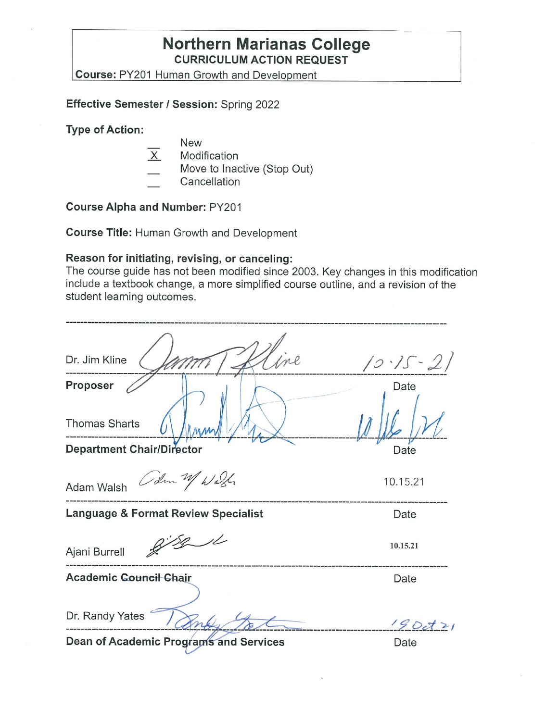## **Northern Marianas College CURRICULUM ACTION REQUEST**

**Course: PY201 Human Growth and Development** 

**Effective Semester/ Session:** Spring 2022

**Type of Action:** 

- New
- X Modification
- Move to Inactive (Stop Out)
- **Cancellation**

**Course Alpha and Number:** PY201

**Course Title:** Human Growth and Development

#### **Reason for initiating, revising, or canceling:**

The course guide has not been modified since 2003. Key changes in this modification include a textbook change, a more simplified course outline, and a revision of the student learning outcomes.

| Dr. Jim Kline                                 | $10.15 - 21$ |
|-----------------------------------------------|--------------|
| Proposer                                      | Date         |
| <b>Thomas Sharts</b>                          |              |
| <b>Department Chair/Director</b>              | Date         |
| Colm 2 Wash<br>Adam Walsh                     | 10.15.21     |
| Language & Format Review Specialist           | Date         |
| Ajani Burrell                                 | 10.15.21     |
| <b>Academic Council Chair</b>                 | Date         |
|                                               |              |
| Dr. Randy Yates                               | 1900121      |
| <b>Dean of Academic Programs and Services</b> | Date         |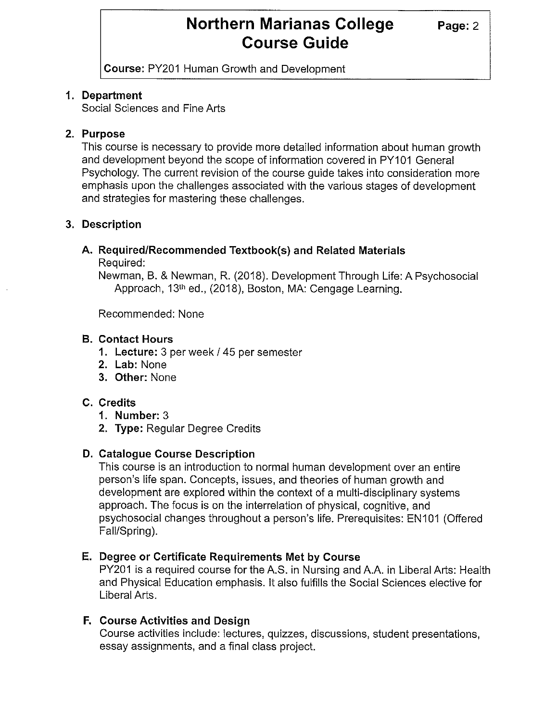**Page:2** 

**Course:** PY201 Human Growth and Development

#### **1. Department**

Social Sciences and Fine Arts

### **2. Purpose**

This course is necessary to provide more detailed information about human growth and development beyond the scope of information covered in PY101 General Psychology. The current revision of the course guide takes into consideration more emphasis upon the challenges associated with the various stages of development and strategies for mastering these challenges.

### **3. Description**

## **A. Required/Recommended Textbook(s) and Related Materials**

Required:

Newman, B. & Newman, R. (2018). Development Through Life: A Psychosocial Approach, 13<sup>th</sup> ed., (2018), Boston, MA: Cengage Learning.

Recommended: None

#### **B. Contact Hours**

- **1. Lecture:** 3 per week / 45 per semester
- **2. Lab:** None
- **3. Other:** None

### **C. Credits**

- **1. Number:** 3
- **2. Type:** Regular Degree Credits

### **D. Catalogue Course Description**

This course is an introduction to normal human development over an entire person's life span. Concepts, issues, and theories of human growth and development are explored within the context of a multi-disciplinary systems approach. The focus is on the interrelation of physical, cognitive, and psychosocial changes throughout a person's life. Prerequisites: EN101 (Offered Fall/Spring).

### **E. Degree or Certificate Requirements Met by Course**

PY201 is a required course for the A.S. in Nursing and A.A. in Liberal Arts: Health and Physical Education emphasis. It also fulfills the Social Sciences elective for Liberal Arts.

### **F. Course Activities and Design**

Course activities include: lectures, quizzes, discussions, student presentations, essay assignments, and a final class project.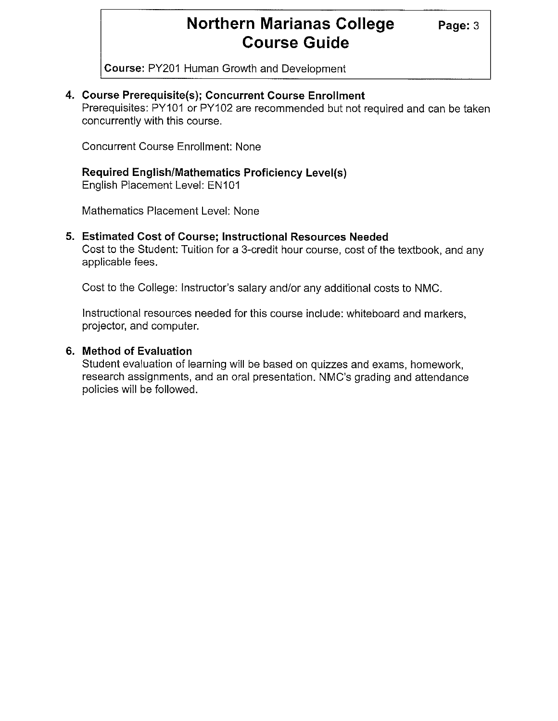**Course:** PY201 Human Growth and Development

### **4. Course Prerequisite(s); Concurrent Course Enrollment**

Prerequisites: PY101 or PY102 are recommended but not required and can be taken concurrently with this course.

Concurrent Course Enrollment: None

## **Required English/Mathematics Proficiency Level(s)**

English Placement Level: EN101

Mathematics Placement Level: None

### **5. Estimated Cost of Course; Instructional Resources Needed**

Cost to the Student: Tuition for a 3-credit hour course, cost of the textbook, and any applicable fees.

Cost to the College: Instructor's salary and/or any additional costs to NMC.

Instructional resources needed for this course include: whiteboard and markers, projector, and computer.

### **6. Method of Evaluation**

Student evaluation of learning will be based on quizzes and exams, homework, research assignments, and an oral presentation. NMC's grading and attendance policies will be followed.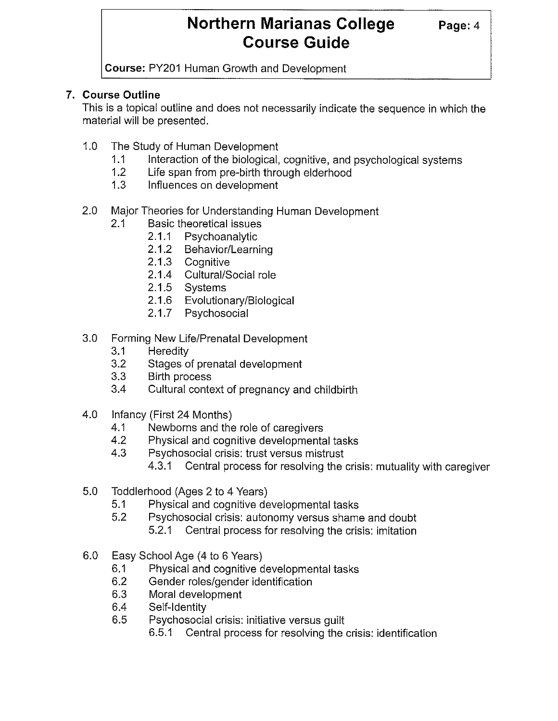**Page:4** 

**Course:** PY201 Human Growth and Development

### **7. Course Outline**

This is a topical outline and does not necessarily indicate the sequence in which the material will be presented.

- 1.0 The Study of Human Development
	- 1.1 Interaction of the biological, cognitive, and psychological systems
	- 1.2 Life span from pre-birth through elderhood
	- 1.3 Influences on development
- 2.0 Major Theories for Understanding Human Development
	- 2.1 Basic theoretical issues
		- 2.1.1 Psychoanalytic
		- 2.1.2 Behavior/Learning
		- 2.1.3 Cognitive
		- 2.1.4 Cultural/Social role
		- 2.1.5 Systems
		- 2.1.6 Evolutionary/Biological
		- 2.1.7 Psychosocial
- 3.0 Forming New Life/Prenatal Development
	- 3.1 Heredity
	- 3.2 Stages of prenatal development
	- 3.3 Birth process
	- 3.4 Cultural context of pregnancy and childbirth
- 4.0 Infancy (First 24 Months)
	- 4.1 Newborns and the role of caregivers
	- 4.2 Physical and cognitive developmental tasks
	- 4.3 Psychosocial crisis: trust versus mistrust
		- 4.3.1 Central process for resolving the crisis: mutuality with caregiver
- 5.0 Toddlerhood (Ages 2 to 4 Years)
	- 5.1 Physical and cognitive developmental tasks
	- 5.2 Psychosocial crisis: autonomy versus shame and doubt
		- 5.2.1 Central process for resolving the crisis: imitation
- 6.0 Easy School Age (4 to 6 Years)
	- 6.1 Physical and cognitive developmental tasks
	- 6.2 Gender roles/gender identification
	- 6.3 Moral development
	- 6.4 Self-Identity
	- 6.5 Psychosocial crisis: initiative versus guilt
		- 6.5.1 Central process for resolving the crisis: identification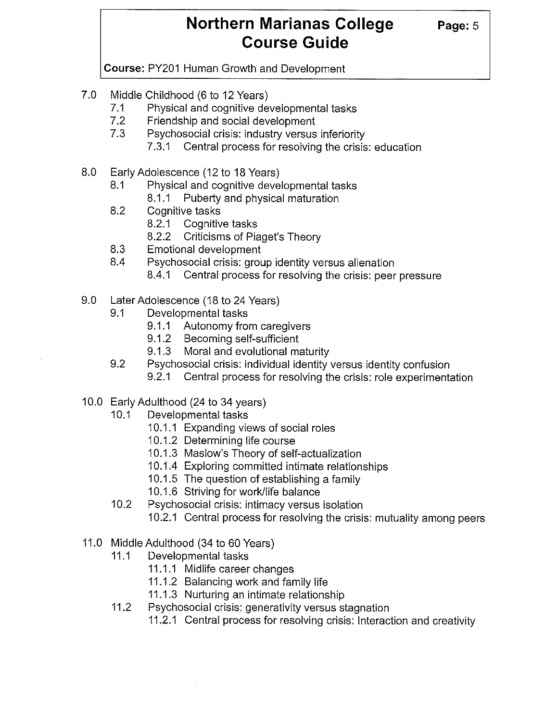**Page:5** 

**Course:** PY201 Human Growth and Development

- 7.0 Middle Childhood (6 to 12 Years)
	- 7.1 Physical and cognitive developmental tasks
	- 7.2 Friendship and social development
	- 7.3 Psychosocial crisis: industry versus inferiority
		- 7.3.1 Central process for resolving the crisis: education
- 8.0 Early Adolescence (12 to 18 Years)
	- 8.1 Physical and cognitive developmental tasks
		- 8.1.1 Puberty and physical maturation
	- 8.2 Cognitive tasks
		- 8.2.1 Cognitive tasks
		- 8.2.2 Criticisms of Piaget's Theory
	- 8.3 Emotional development
	- 8.4 Psychosocial crisis: group identity versus alienation
		- 8.4.1 Central process for resolving the crisis: peer pressure
- 9.0 Later Adolescence (18 to 24 Years)
	- 9.1 Developmental tasks
		- 9.1.1 Autonomy from caregivers
		- 9.1.2 Becoming self-sufficient
		- 9.1.3 Moral and evolutional maturity
	- 9.2 Psychosocial crisis: individual identity versus identity confusion
		- 9.2.1 Central process for resolving the crisis: role experimentation
- 10.0 Early Adulthood (24 to 34 years)
	- 10.1 Developmental tasks
		- 10.1.1 Expanding views of social roles
		- 10.1.2 Determining life course
		- 10.1.3 Maslow's Theory of self-actualization
		- 10.1.4 Exploring committed intimate relationships
		- 10.1.5 The question of establishing a family
		- 10.1.6 Striving for work/life balance
	- 10.2 Psychosocial crisis: intimacy versus isolation
		- 10.2.1 Central process for resolving the crisis: mutuality among peers
- 11.0 Middle Adulthood (34 to 60 Years)
	- 11.1 Developmental tasks
		- 11.1.1 Midlife career changes
		- 11.1.2 Balancing work and family life
		- 11.1.3 Nurturing an intimate relationship
	- 11.2 Psychosocial crisis: generativity versus stagnation
		- 11.2.1 Central process for resolving crisis: Interaction and creativity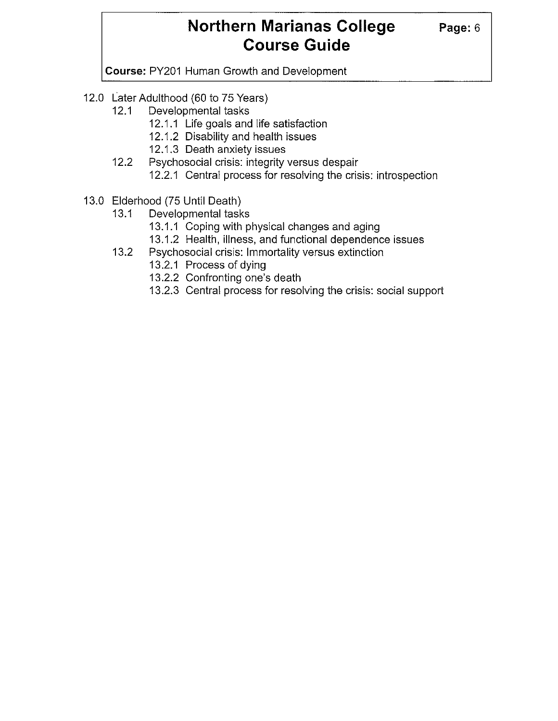**Course:** PY201 Human Growth and Development

- 12.0 Later Adulthood (60 to 75 Years)
	- 12.1 Developmental tasks
		- 12.1.1 Life goals and life satisfaction
		- 12.1.2 Disability and health issues
		- 12.1.3 Death anxiety issues
	- 12.2 Psychosocial crisis: integrity versus despair
		- 12.2.1 Central process for resolving the crisis: introspection
- 13.0 Elderhood (75 Until Death)
	- 13.1 Developmental tasks
		- 13.1.1 Coping with physical changes and aging
		- 13.1.2 Health, illness, and functional dependence issues
	- 13.2 Psychosocial crisis: Immortality versus extinction
		- 13.2.1 Process of dying
		- 13.2.2 Confronting one's death
		- 13.2.3 Central process for resolving the crisis: social support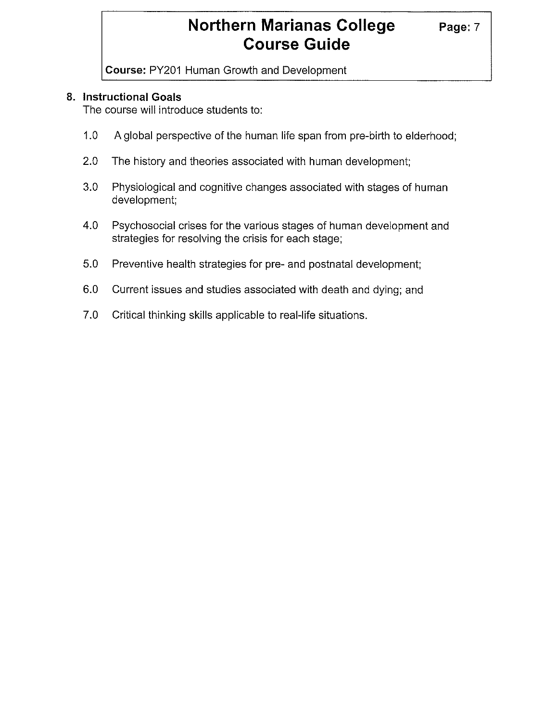**Course:** PY201 Human Growth and Development

### **8. Instructional Goals**

The course will introduce students to:

- 1.0 A global perspective of the human life span from pre-birth to elderhood;
- 2.0 The history and theories associated with human development;
- 3.0 Physiological and cognitive changes associated with stages of human development;
- 4.0 Psychosocial crises for the various stages of human development and strategies for resolving the crisis for each stage;
- 5.0 Preventive health strategies for pre- and postnatal development;
- 6.0 Current issues and studies associated with death and dying; and
- 7.0 Critical thinking skills applicable to real-life situations.